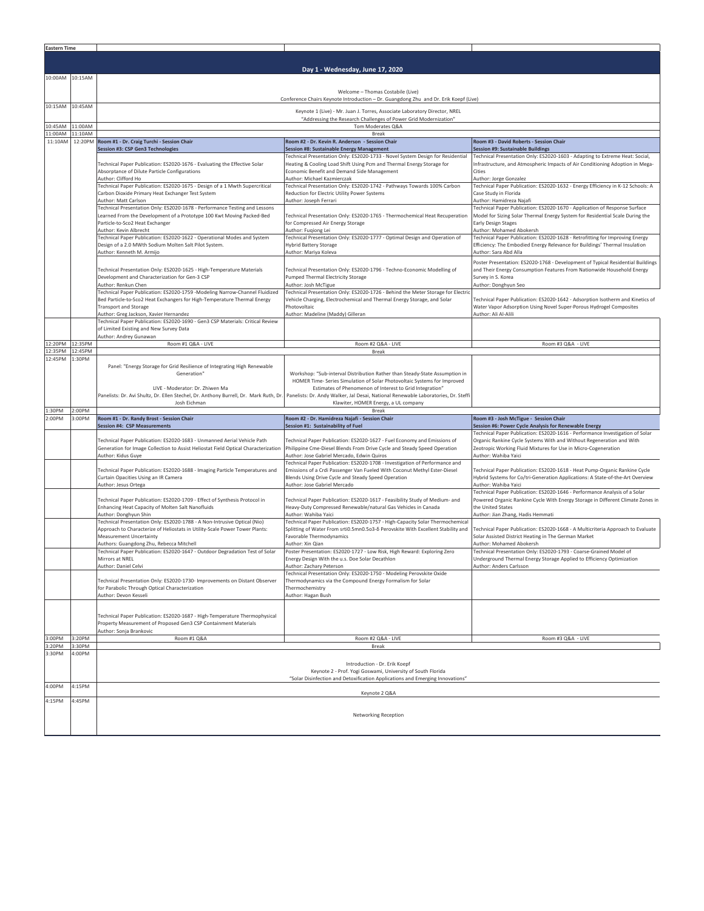| <b>Eastern Time</b> |                    |                                                                                                                                 |                                                                                                                                                                                              |                                                                                                                                                               |  |  |  |
|---------------------|--------------------|---------------------------------------------------------------------------------------------------------------------------------|----------------------------------------------------------------------------------------------------------------------------------------------------------------------------------------------|---------------------------------------------------------------------------------------------------------------------------------------------------------------|--|--|--|
|                     |                    |                                                                                                                                 |                                                                                                                                                                                              |                                                                                                                                                               |  |  |  |
|                     |                    |                                                                                                                                 | Day 1 - Wednesday, June 17, 2020                                                                                                                                                             |                                                                                                                                                               |  |  |  |
| 10:00AM             | 10:15AM            | Welcome - Thomas Costabile (Live)<br>Conference Chairs Keynote Introduction - Dr. Guangdong Zhu and Dr. Erik Koepf (Live)       |                                                                                                                                                                                              |                                                                                                                                                               |  |  |  |
| 10:15AM 10:45AM     |                    |                                                                                                                                 | Keynote 1 (Live) - Mr. Juan J. Torres, Associate Laboratory Director, NREL<br>"Addressing the Research Challenges of Power Grid Modernization"                                               |                                                                                                                                                               |  |  |  |
| 10:45AM             | 11:00AM            |                                                                                                                                 | Tom Moderates Q&A                                                                                                                                                                            |                                                                                                                                                               |  |  |  |
| 11:00AM<br>11:10AM  | 11:10AM<br>12:20PM | Room #1 - Dr. Craig Turchi - Session Chair                                                                                      | <b>Break</b><br>Room #2 - Dr. Kevin R. Anderson - Session Chair                                                                                                                              | Room #3 - David Roberts - Session Chair                                                                                                                       |  |  |  |
|                     |                    | Session #3: CSP Gen3 Technologies                                                                                               | Session #8: Sustainable Energy Management                                                                                                                                                    | <b>Session #9: Sustainable Buildings</b>                                                                                                                      |  |  |  |
|                     |                    | Technical Paper Publication: ES2020-1676 - Evaluating the Effective Solar                                                       | Technical Presentation Only: ES2020-1733 - Novel System Design for Residential<br>Heating & Cooling Load Shift Using Pcm and Thermal Energy Storage for                                      | Technical Presentation Only: ES2020-1603 - Adapting to Extreme Heat: Social,<br>Infrastructure, and Atmospheric Impacts of Air Conditioning Adoption in Mega- |  |  |  |
|                     |                    | Absorptance of Dilute Particle Configurations                                                                                   | Economic Benefit and Demand Side Management                                                                                                                                                  | Cities                                                                                                                                                        |  |  |  |
|                     |                    | Author: Clifford Ho<br>Technical Paper Publication: ES2020-1675 - Design of a 1 Mwth Supercritical                              | Author: Michael Kazmierczak<br>Technical Presentation Only: ES2020-1742 - Pathways Towards 100% Carbon                                                                                       | Author: Jorge Gonzalez<br>Technical Paper Publication: ES2020-1632 - Energy Efficiency in K-12 Schools: A                                                     |  |  |  |
|                     |                    | Carbon Dioxide Primary Heat Exchanger Test System                                                                               | Reduction for Electric Utility Power Systems                                                                                                                                                 | Case Study in Florida                                                                                                                                         |  |  |  |
|                     |                    | Author: Matt Carlson<br>Technical Presentation Only: ES2020-1678 - Performance Testing and Lessons                              | Author: Joseph Ferrari                                                                                                                                                                       | Author: Hamidreza Najafi<br>Technical Paper Publication: ES2020-1670 - Application of Response Surface                                                        |  |  |  |
|                     |                    | Learned From the Development of a Prototype 100 Kwt Moving Packed-Bed                                                           | Technical Presentation Only: ES2020-1765 - Thermochemical Heat Recuperation                                                                                                                  | Model for Sizing Solar Thermal Energy System for Residential Scale During the                                                                                 |  |  |  |
|                     |                    | Particle-to-Sco2 Heat Exchanger<br>Author: Kevin Albrecht                                                                       | for Compressed Air Energy Storage<br>Author: Fuqiong Lei                                                                                                                                     | Early Design Stages<br>Author: Mohamed Abokersh                                                                                                               |  |  |  |
|                     |                    | Technical Paper Publication: ES2020-1622 - Operational Modes and System                                                         | Technical Presentation Only: ES2020-1777 - Optimal Design and Operation of                                                                                                                   | Technical Paper Publication: ES2020-1628 - Retrofitting for Improving Energy                                                                                  |  |  |  |
|                     |                    | Design of a 2.0 MWth Sodium Molten Salt Pilot System.<br>Author: Kenneth M. Armijo                                              | <b>Hybrid Battery Storage</b><br>Author: Mariya Koleva                                                                                                                                       | Efficiency: The Embodied Energy Relevance for Buildings' Thermal Insulation<br>Author: Sara Abd Alla                                                          |  |  |  |
|                     |                    |                                                                                                                                 |                                                                                                                                                                                              | Poster Presentation: ES2020-1768 - Development of Typical Residential Buildings                                                                               |  |  |  |
|                     |                    | Technical Presentation Only: ES2020-1625 - High-Temperature Materials                                                           | Technical Presentation Only: ES2020-1796 - Techno-Economic Modelling of                                                                                                                      | and Their Energy Consumption Features From Nationwide Household Energy                                                                                        |  |  |  |
|                     |                    | Development and Characterization for Gen-3 CSP<br>Author: Renkun Chen                                                           | Pumped Thermal Electricity Storage<br>Author: Josh McTigue                                                                                                                                   | Survey in S. Korea<br>Author: Donghyun Seo                                                                                                                    |  |  |  |
|                     |                    | Technical Paper Publication: ES2020-1759 -Modeling Narrow-Channel Fluidized                                                     | Technical Presentation Only: ES2020-1726 - Behind the Meter Storage for Electri                                                                                                              |                                                                                                                                                               |  |  |  |
|                     |                    | Bed Particle-to-Sco2 Heat Exchangers for High-Temperature Thermal Energy<br><b>Transport and Storage</b>                        | Vehicle Charging, Electrochemical and Thermal Energy Storage, and Solar<br>Photovoltaic                                                                                                      | Fechnical Paper Publication: ES2020-1642 - Adsorption Isotherm and Kinetics of<br>Water Vapor Adsorption Using Novel Super-Porous Hydrogel Composites         |  |  |  |
|                     |                    | Author: Greg Jackson, Xavier Hernandez                                                                                          | Author: Madeline (Maddy) Gilleran                                                                                                                                                            | Author: Ali Al-Alili                                                                                                                                          |  |  |  |
|                     |                    | Technical Paper Publication: ES2020-1690 - Gen3 CSP Materials: Critical Review<br>of Limited Existing and New Survey Data       |                                                                                                                                                                                              |                                                                                                                                                               |  |  |  |
|                     |                    | Author: Andrey Gunawan                                                                                                          |                                                                                                                                                                                              |                                                                                                                                                               |  |  |  |
| 12:20PM<br>12:35PM  | 12:35PM<br>12:45PM | Room #1 Q&A - LIVE                                                                                                              | Room #2 Q&A - LIVE                                                                                                                                                                           | Room #3 Q&A - LIVE                                                                                                                                            |  |  |  |
| 12:45PM             | 1:30PM             |                                                                                                                                 | Break                                                                                                                                                                                        |                                                                                                                                                               |  |  |  |
|                     |                    | Panel: "Energy Storage for Grid Resilience of Integrating High Renewable<br>Generation"                                         | Workshop: "Sub-interval Distribution Rather than Steady-State Assumption in                                                                                                                  |                                                                                                                                                               |  |  |  |
|                     |                    |                                                                                                                                 | HOMER Time- Series Simulation of Solar Photovoltaic Systems for Improved                                                                                                                     |                                                                                                                                                               |  |  |  |
|                     |                    | LIVE - Moderator: Dr. Zhiwen Ma                                                                                                 | Estimates of Phenomenon of Interest to Grid Integration"                                                                                                                                     |                                                                                                                                                               |  |  |  |
|                     |                    | Panelists: Dr. Avi Shultz, Dr. Ellen Stechel, Dr. Anthony Burrell, Dr. Mark Ruth, Dr<br>Josh Eichman                            | Panelists: Dr. Andy Walker, Jal Desai, National Renewable Laboratories, Dr. Steffi<br>Klawiter, HOMER Energy, a UL company                                                                   |                                                                                                                                                               |  |  |  |
| 1:30PM              | 2:00PM             |                                                                                                                                 | Break                                                                                                                                                                                        |                                                                                                                                                               |  |  |  |
| 2:00PM              | 3:00PM             | Room #1 - Dr. Randy Brost - Session Chair<br><b>Session #4: CSP Measurements</b>                                                | Room #2 - Dr. Hamidreza Najafi - Session Chair<br>Session #1: Sustainability of Fuel                                                                                                         | Room #3 - Josh McTigue - Session Chair<br>Session #6: Power Cycle Analysis for Renewable Energy                                                               |  |  |  |
|                     |                    | Technical Paper Publication: ES2020-1683 - Unmanned Aerial Vehicle Path                                                         | Technical Paper Publication: ES2020-1627 - Fuel Economy and Emissions of                                                                                                                     | Technical Paper Publication: ES2020-1616 - Performance Investigation of Solar<br>Organic Rankine Cycle Systems With and Without Regeneration and With         |  |  |  |
|                     |                    | Generation for Image Collection to Assist Heliostat Field Optical Characterization                                              | Philippine Cme-Diesel Blends From Drive Cycle and Steady Speed Operation                                                                                                                     | Zeotropic Working Fluid Mixtures for Use in Micro-Cogeneration                                                                                                |  |  |  |
|                     |                    | Author: Kidus Guye                                                                                                              | Author: Jose Gabriel Mercado, Edwin Quiros<br>Technical Paper Publication: ES2020-1708 - Investigation of Performance and                                                                    | Author: Wahiba Yaici                                                                                                                                          |  |  |  |
|                     |                    | Technical Paper Publication: ES2020-1688 - Imaging Particle Temperatures and                                                    | Emissions of a Crdi Passenger Van Fueled With Coconut Methyl Ester-Diesel                                                                                                                    | Technical Paper Publication: ES2020-1618 - Heat Pump-Organic Rankine Cycle                                                                                    |  |  |  |
|                     |                    | Curtain Opacities Using an IR Camera<br>Author: Jesus Ortega                                                                    | Blends Using Drive Cycle and Steady Speed Operation<br>Author: Jose Gabriel Mercado                                                                                                          | Hybrid Systems for Co/tri-Generation Applications: A State-of-the-Art Overview<br>Author: Wahiba Yaici                                                        |  |  |  |
|                     |                    |                                                                                                                                 |                                                                                                                                                                                              | Technical Paper Publication: ES2020-1646 - Performance Analysis of a Solar                                                                                    |  |  |  |
|                     |                    | Technical Paper Publication: ES2020-1709 - Effect of Synthesis Protocol in<br>Enhancing Heat Capacity of Molten Salt Nanofluids | Technical Paper Publication: ES2020-1617 - Feasibility Study of Medium- and<br>Heavy-Duty Compressed Renewable/natural Gas Vehicles in Canada                                                | Powered Organic Rankine Cycle With Energy Storage in Different Climate Zones in<br>the United States                                                          |  |  |  |
|                     |                    | Author: Donghyun Shin                                                                                                           | Author: Wahiba Yaici                                                                                                                                                                         | Author: Jian Zhang, Hadis Hemmati                                                                                                                             |  |  |  |
|                     |                    | Technical Presentation Only: ES2020-1788 - A Non-Intrusive Optical (Nio)                                                        | Technical Paper Publication: ES2020-1757 - High-Capacity Solar Thermochemical                                                                                                                |                                                                                                                                                               |  |  |  |
|                     |                    | Approach to Characterize of Heliostats in Utility-Scale Power Tower Plants:<br><b>Measurement Uncertainty</b>                   | Splitting of Water From srti0.5mn0.5o3-δ Perovskite With Excellent Stability and Technical Paper Publication: ES2020-1668 - A Multicriteria Approach to Evaluate<br>Favorable Thermodynamics | Solar Assisted District Heating in The German Market                                                                                                          |  |  |  |
|                     |                    | Authors: Guangdong Zhu, Rebecca Mitchell                                                                                        | Author: Xin Qian                                                                                                                                                                             | Author: Mohamed Abokersh                                                                                                                                      |  |  |  |
|                     |                    | Fechnical Paper Publication: ES2020-1647 - Outdoor Degradation Test of Solar<br>Mirrors at NREL                                 | Poster Presentation: ES2020-1727 - Low Risk, High Reward: Exploring Zero<br>Energy Design With the u.s. Doe Solar Decathlon                                                                  | Technical Presentation Only: ES2020-1793 - Coarse-Grained Model of<br>Underground Thermal Energy Storage Applied to Efficiency Optimization                   |  |  |  |
|                     |                    | Author: Daniel Celvi                                                                                                            | Author: Zachary Peterson<br>Technical Presentation Only: ES2020-1750 - Modeling Perovskite Oxide                                                                                             | Author: Anders Carlsson                                                                                                                                       |  |  |  |
|                     |                    | Technical Presentation Only: ES2020-1730- Improvements on Distant Observer                                                      | Thermodynamics via the Compound Energy Formalism for Solar                                                                                                                                   |                                                                                                                                                               |  |  |  |
|                     |                    | for Parabolic Through Optical Characterization                                                                                  | Thermochemistry                                                                                                                                                                              |                                                                                                                                                               |  |  |  |
|                     |                    | Author: Devon Kesseli                                                                                                           | Author: Hagan Bush                                                                                                                                                                           |                                                                                                                                                               |  |  |  |
|                     |                    | Technical Paper Publication: ES2020-1687 - High-Temperature Thermophysical                                                      |                                                                                                                                                                                              |                                                                                                                                                               |  |  |  |
|                     |                    | Property Measurement of Proposed Gen3 CSP Containment Materials                                                                 |                                                                                                                                                                                              |                                                                                                                                                               |  |  |  |
| 3:00PM              | 3:20PM             | Author: Sonja Brankovic<br>Room #1 Q&A                                                                                          | Room #2 Q&A - LIVE                                                                                                                                                                           | Room #3 Q&A - LIVE                                                                                                                                            |  |  |  |
| :20PM               | 3:0PM              |                                                                                                                                 | Break                                                                                                                                                                                        |                                                                                                                                                               |  |  |  |
| 3:30PM              | 4:00PM             |                                                                                                                                 |                                                                                                                                                                                              |                                                                                                                                                               |  |  |  |
|                     |                    |                                                                                                                                 | Introduction - Dr. Erik Koepf                                                                                                                                                                |                                                                                                                                                               |  |  |  |
|                     |                    |                                                                                                                                 | Keynote 2 - Prof. Yogi Goswami, University of South Florida<br>"Solar Disinfection and Detoxification Applications and Emerging Innovations"                                                 |                                                                                                                                                               |  |  |  |
| 4:00PM              | 4:15PM             |                                                                                                                                 |                                                                                                                                                                                              |                                                                                                                                                               |  |  |  |
| 4:15PM              | 4:45PM             |                                                                                                                                 | Keynote 2 Q&A                                                                                                                                                                                |                                                                                                                                                               |  |  |  |
|                     |                    |                                                                                                                                 |                                                                                                                                                                                              |                                                                                                                                                               |  |  |  |
|                     |                    |                                                                                                                                 | Networking Reception                                                                                                                                                                         |                                                                                                                                                               |  |  |  |
|                     |                    |                                                                                                                                 |                                                                                                                                                                                              |                                                                                                                                                               |  |  |  |